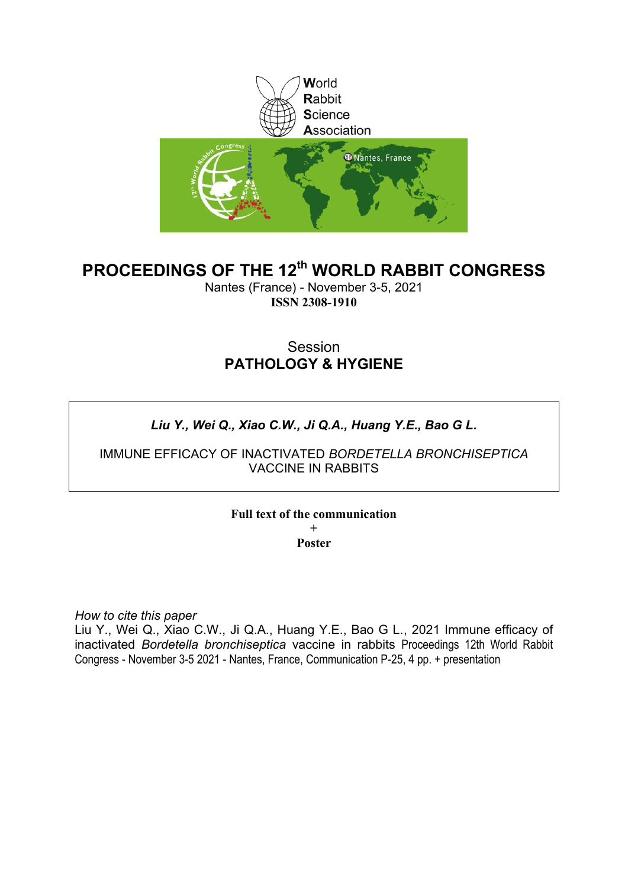

# **PROCEEDINGS OF THE 12th WORLD RABBIT CONGRESS**

Nantes (France) - November 3-5, 2021 **ISSN 2308-1910**

# Session **PATHOLOGY & HYGIENE**

# *Liu Y., Wei Q., Xiao C.W., Ji Q.A., Huang Y.E., Bao G L.*

IMMUNE EFFICACY OF INACTIVATED *BORDETELLA BRONCHISEPTICA* VACCINE IN RABBITS

**Full text of the communication** 

**+ Poster**

*How to cite this paper*

Liu Y., Wei Q., Xiao C.W., Ji Q.A., Huang Y.E., Bao G L., 2021 Immune efficacy of inactivated *Bordetella bronchiseptica* vaccine in rabbits Proceedings 12th World Rabbit Congress - November 3-5 2021 - Nantes, France, Communication P-25, 4 pp. + presentation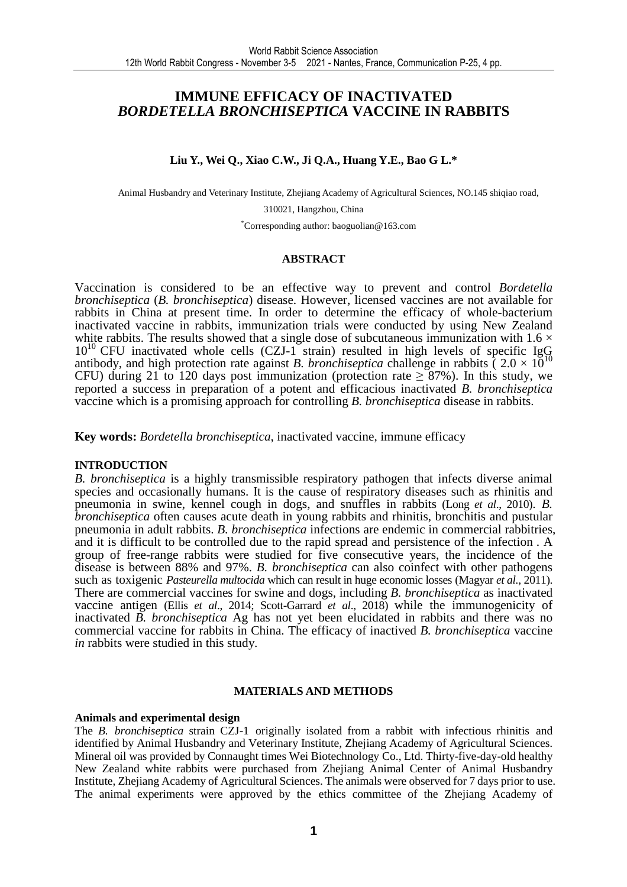## **IMMUNE EFFICACY OF INACTIVATED**  *BORDETELLA BRONCHISEPTICA* **VACCINE IN RABBITS**

**Liu Y., Wei Q., Xiao C.W., Ji Q.A., Huang Y.E., Bao G L.\***

Animal Husbandry and Veterinary Institute, Zhejiang Academy of Agricultural Sciences, NO.145 shiqiao road,

310021, Hangzhou, China

\*Corresponding author: baoguolian@163.com

### **ABSTRACT**

Vaccination is considered to be an effective way to prevent and control *Bordetella bronchiseptica* (*B. bronchiseptica*) disease. However, licensed vaccines are not available for rabbits in China at present time. In order to determine the efficacy of whole-bacterium inactivated vaccine in rabbits, immunization trials were conducted by using New Zealand white rabbits. The results showed that a single dose of subcutaneous immunization with  $1.6 \times$  $10^{10}$  CFU inactivated whole cells (CZJ-1 strain) resulted in high levels of specific IgG antibody, and high protection rate against *B. bronchiseptica* challenge in rabbits  $(2.0 \times 10^{10}$ CFU) during 21 to 120 days post immunization (protection rate  $\geq 87\%$ ). In this study, we reported a success in preparation of a potent and efficacious inactivated *B. bronchiseptica* vaccine which is a promising approach for controlling *B. bronchiseptica* disease in rabbits.

**Key words:** *Bordetella bronchiseptica*, inactivated vaccine, immune efficacy

### **INTRODUCTION**

*B. bronchiseptica* is a highly transmissible respiratory pathogen that infects diverse animal species and occasionally humans. It is the cause of respiratory diseases such as rhinitis and pneumonia in swine, kennel cough in dogs, and snuffles in rabbits (Long *et al*., 2010). *B. bronchiseptica* often causes acute death in young rabbits and rhinitis, bronchitis and pustular pneumonia in adult rabbits. *B. bronchiseptica* infections are endemic in commercial rabbitries, and it is difficult to be controlled due to the rapid spread and persistence of the infection . A group of free-range rabbits were studied for five consecutive years, the incidence of the disease is between 88% and 97%. *B. bronchiseptica* can also coinfect with other pathogens such as toxigenic *Pasteurella multocida* which can result in huge economic losses (Magyar *et al.,* 2011). There are commercial vaccines for swine and dogs, including *B. bronchiseptica* as inactivated vaccine antigen (Ellis *et al*., 2014; Scott-Garrard *et al*., 2018) while the immunogenicity of inactivated *B. bronchiseptica* Ag has not yet been elucidated in rabbits and there was no commercial vaccine for rabbits in China. The efficacy of inactived *B. bronchiseptica* vaccine *in* rabbits were studied in this study.

#### **MATERIALS AND METHODS**

#### **Animals and experimental design**

The *B. bronchiseptica* strain CZJ-1 originally isolated from a rabbit with infectious rhinitis and identified by Animal Husbandry and Veterinary Institute, Zhejiang Academy of Agricultural Sciences. Mineral oil was provided by Connaught times Wei Biotechnology Co., Ltd. Thirty-five-day-old healthy New Zealand white rabbits were purchased from Zhejiang Animal Center of Animal Husbandry Institute, Zhejiang Academy of Agricultural Sciences. The animals were observed for 7 days prior to use. The animal experiments were approved by the ethics committee of the Zhejiang Academy of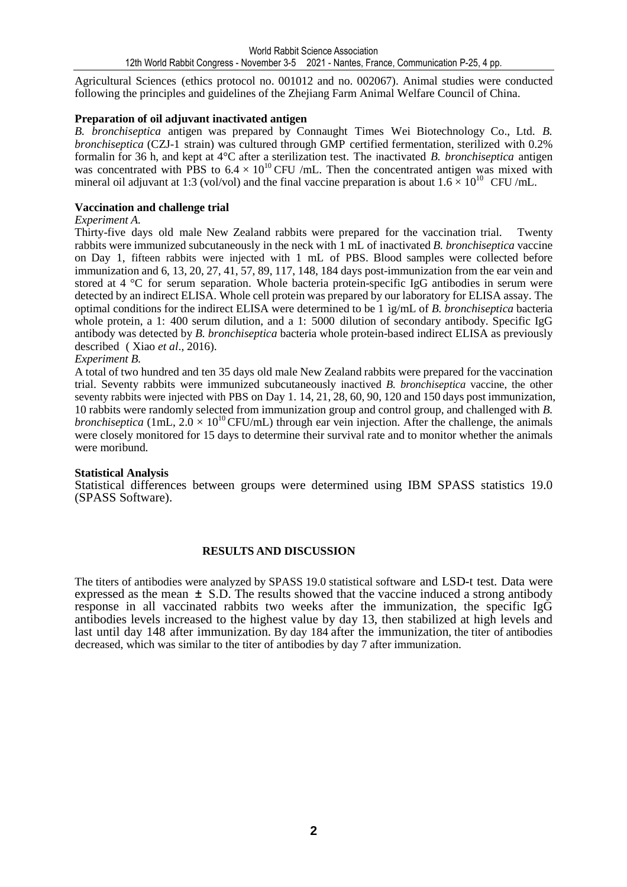Agricultural Sciences (ethics protocol no. 001012 and no. 002067). Animal studies were conducted following the principles and guidelines of the Zhejiang Farm Animal Welfare Council of China.

## **Preparation of oil adjuvant inactivated antigen**

*B. bronchiseptica* antigen was prepared by Connaught Times Wei Biotechnology Co., Ltd. *B. bronchiseptica* (CZJ-1 strain) was cultured through GMP certified fermentation, sterilized with 0.2% formalin for 36 h, and kept at 4°C after a sterilization test. The inactivated *B. bronchiseptica* antigen was concentrated with PBS to  $6.4 \times 10^{10}$  CFU /mL. Then the concentrated antigen was mixed with mineral oil adjuvant at 1:3 (vol/vol) and the final vaccine preparation is about  $1.6 \times 10^{10}$  CFU/mL.

### **Vaccination and challenge trial**

### *Experiment A.*

Thirty-five days old male New Zealand rabbits were prepared for the vaccination trial. Twenty rabbits were immunized subcutaneously in the neck with 1 mL of inactivated *B. bronchiseptica* vaccine on Day 1, fifteen rabbits were injected with 1 mL of PBS. Blood samples were collected before immunization and 6, 13, 20, 27, 41, 57, 89, 117, 148, 184 days post-immunization from the ear vein and stored at 4 °C for serum separation. Whole bacteria protein-specific IgG antibodies in serum were detected by an indirect ELISA. Whole cell protein was prepared by our laboratory for ELISA assay. The optimal conditions for the indirect ELISA were determined to be 1 ìg/mL of *B. bronchiseptica* bacteria whole protein, a 1: 400 serum dilution, and a 1: 5000 dilution of secondary antibody. Specific IgG antibody was detected by *B. bronchiseptica* bacteria whole protein-based indirect ELISA as previously described ( Xiao *et al*., 2016).

### *Experiment B.*

A total of two hundred and ten 35 days old male New Zealand rabbits were prepared for the vaccination trial. Seventy rabbits were immunized subcutaneously inactived *B. bronchiseptica* vaccine, the other seventy rabbits were injected with PBS on Day 1. 14, 21, 28, 60, 90, 120 and 150 days post immunization, 10 rabbits were randomly selected from immunization group and control group, and challenged with *B. bronchiseptica* (1mL,  $2.0 \times 10^{10}$  CFU/mL) through ear vein injection. After the challenge, the animals were closely monitored for 15 days to determine their survival rate and to monitor whether the animals were moribund.

### **Statistical Analysis**

Statistical differences between groups were determined using IBM SPASS statistics 19.0 (SPASS Software).

### **RESULTS AND DISCUSSION**

The titers of antibodies were analyzed by SPASS 19.0 statistical software and LSD-t test. Data were expressed as the mean  $\pm$  S.D. The results showed that the vaccine induced a strong antibody response in all vaccinated rabbits two weeks after the immunization, the specific IgG antibodies levels increased to the highest value by day 13, then stabilized at high levels and last until day 148 after immunization. By day 184 after the immunization, the titer of antibodies decreased, which was similar to the titer of antibodies by day 7 after immunization.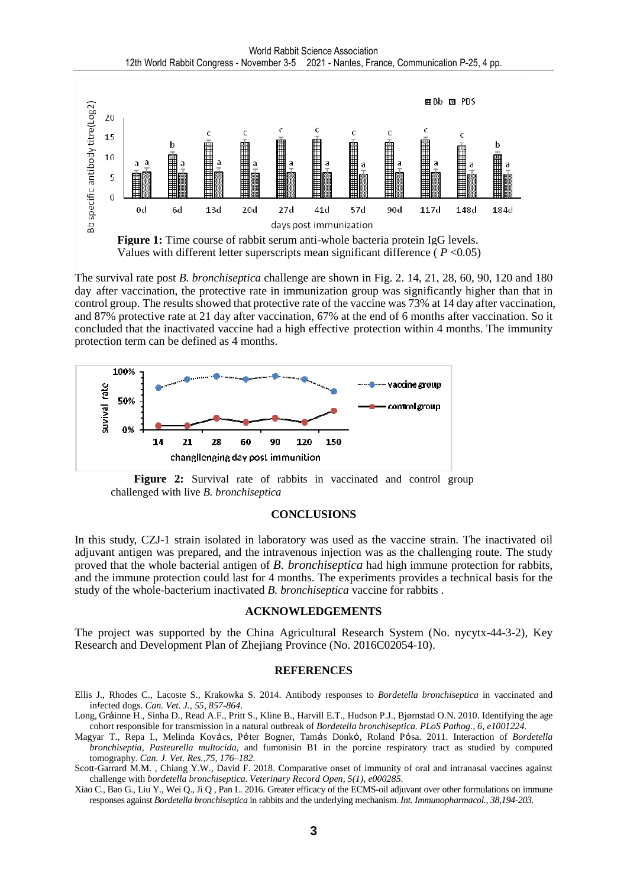

The survival rate post *B. bronchiseptica* challenge are shown in Fig. 2. 14, 21, 28, 60, 90, 120 and 180 day after vaccination, the protective rate in immunization group was significantly higher than that in control group. The results showed that protective rate of the vaccine was 73% at 14 day after vaccination, and 87% protective rate at 21 day after vaccination, 67% at the end of 6 months after vaccination. So it concluded that the inactivated vaccine had a high effective protection within 4 months. The immunity protection term can be defined as 4 months.



**Figure 2:** Survival rate of rabbits in vaccinated and control group challenged with live *B. bronchiseptica* 

#### **CONCLUSIONS**

In this study, CZJ-1 strain isolated in laboratory was used as the vaccine strain. The inactivated oil adjuvant antigen was prepared, and the intravenous injection was as the challenging route. The study proved that the whole bacterial antigen of *B. bronchiseptica* had high immune protection for rabbits, and the immune protection could last for 4 months. The experiments provides a technical basis for the study of the whole-bacterium inactivated *B. bronchiseptica* vaccine for rabbits .

#### **ACKNOWLEDGEMENTS**

The project was supported by the China Agricultural Research System (No. nycytx-44-3-2), Key Research and Development Plan of Zhejiang Province (No. 2016C02054-10).

#### **REFERENCES**

- Ellis J., Rhodes C., Lacoste S., Krakowka S. 2014. Antibody responses to *Bordetella bronchiseptica* in vaccinated and infected dogs. *Can. Vet. J., 55, 857-864.*
- Long, Gráinne H., Sinha D., Read A.F., Pritt S., Kline B., Harvill E.T., Hudson P.J., Bjørnstad O.N. 2010. Identifying the age cohort responsible for transmission in a natural outbreak of *Bordetella bronchiseptica. PLoS Pathog., 6, e1001224.*
- Magyar T., Repa I., Melinda Kovács, Péter Bogner, Tamás Donkó, Roland Pósa. 2011. Interaction of *Bordetella bronchiseptia*, *Pasteurella multocida*, and fumonisin B1 in the porcine respiratory tract as studied by computed tomography. *Can. J. Vet. Res.,75, 176–182.*
- Scott-Garrard M.M. , Chiang Y.W., David F. 2018. Comparative onset of immunity of oral and intranasal vaccines against challenge with *bordetella bronchiseptica*. *Veterinary Record Open, 5(1), e000285.*
- Xiao C., Bao G., Liu Y., Wei Q., Ji Q , Pan L. 2016. Greater efficacy of the ECMS-oil adjuvant over other formulations on immune responses against *Bordetella bronchiseptica* in rabbits and the underlying mechanism. *Int. Immunopharmacol., 38,194-203.*